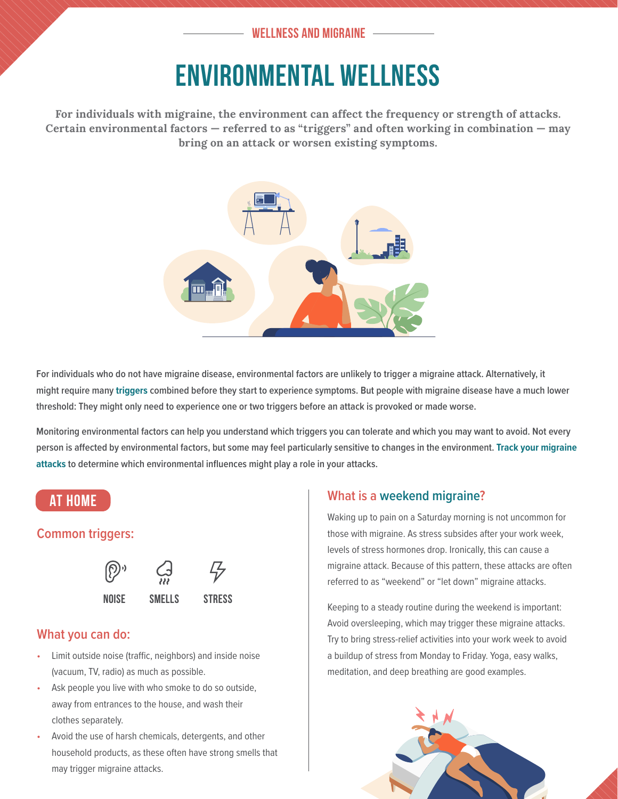## **WELLNESS AND MIGRAINE**

# ENVIRONMENTAL WELLNESS

**For individuals with migraine, the environment can affect the frequency or strength of attacks. Certain environmental factors — referred to as "triggers" and often working in combination — may bring on an attack or worsen existing symptoms.** 



**For individuals who do not have migraine disease, environmental factors are unlikely to trigger a migraine attack. Alternatively, it might require many triggers combined before they start to experience symptoms. But people with migraine disease have a much lower threshold: They might only need to experience one or two triggers before an attack is provoked or made worse.**

**Monitoring environmental factors can help you understand which triggers you can tolerate and which you may want to avoid. Not every person is affected by environmental factors, but some may feel particularly sensitive to changes in the environment. [Track your migraine](https://swhr.org/wp-content/uploads/2020/06/SWHR_Migraine_Toolkit_Headache_Diary.pdf)  [attacks](https://swhr.org/wp-content/uploads/2020/06/SWHR_Migraine_Toolkit_Headache_Diary.pdf) to determine which environmental influences might play a role in your attacks.**

# **AT HOME**

# **Common triggers:**





# **What you can do:**

- Limit outside noise (traffic, neighbors) and inside noise (vacuum, TV, radio) as much as possible.
- Ask people you live with who smoke to do so outside, away from entrances to the house, and wash their clothes separately.
- Avoid the use of harsh chemicals, detergents, and other household products, as these often have strong smells that may trigger migraine attacks.

### **What is a weekend migraine?**

Waking up to pain on a Saturday morning is not uncommon for those with migraine. As stress subsides after your work week, levels of stress hormones drop. Ironically, this can cause a migraine attack. Because of this pattern, these attacks are often referred to as "weekend" or "let down" migraine attacks.

Keeping to a steady routine during the weekend is important: Avoid oversleeping, which may trigger these migraine attacks. Try to bring stress-relief activities into your work week to avoid a buildup of stress from Monday to Friday. Yoga, easy walks, meditation, and deep breathing are good examples.